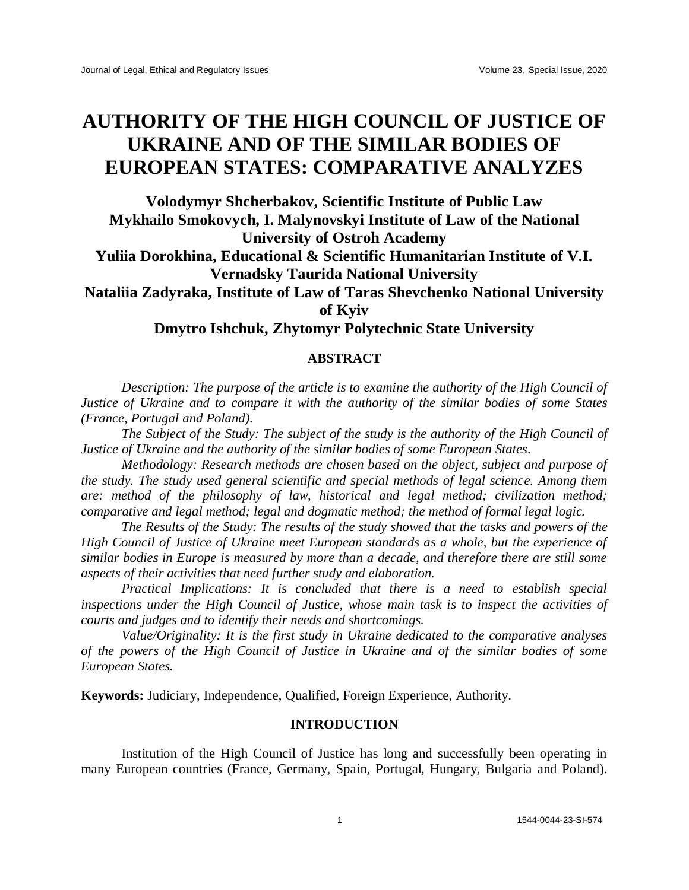# **AUTHORITY OF THE HIGH COUNCIL OF JUSTICE OF UKRAINE AND OF THE SIMILAR BODIES OF EUROPEAN STATES: COMPARATIVE ANALYZES**

**Volodymyr Shcherbakov, Scientific Institute of Public Law Mykhailo Smokovych, I. Malynovskyi Institute of Law of the National University of Ostroh Academy Yuliia Dorokhina, Educational & Scientific Humanitarian Institute of V.I.** 

**Vernadsky Taurida National University**

**Nataliia Zadyraka, Institute of Law of Taras Shevchenko National University of Kyiv**

**Dmytro Ishchuk, Zhytomyr Polytechnic State University**

## **ABSTRACT**

*Description: The purpose of the article is to examine the authority of the High Council of Justice of Ukraine and to compare it with the authority of the similar bodies of some States (France, Portugal and Poland).* 

*The Subject of the Study: The subject of the study is the authority of the High Council of Justice of Ukraine and the authority of the similar bodies of some European States.* 

*Methodology: Research methods are chosen based on the object, subject and purpose of the study. The study used general scientific and special methods of legal science. Among them are: method of the philosophy of law, historical and legal method; civilization method; comparative and legal method; legal and dogmatic method; the method of formal legal logic.* 

*The Results of the Study: The results of the study showed that the tasks and powers of the High Council of Justice of Ukraine meet European standards as a whole, but the experience of similar bodies in Europe is measured by more than a decade, and therefore there are still some aspects of their activities that need further study and elaboration.* 

*Practical Implications: It is concluded that there is a need to establish special inspections under the High Council of Justice, whose main task is to inspect the activities of courts and judges and to identify their needs and shortcomings.*

*Value/Originality: It is the first study in Ukraine dedicated to the comparative analyses of the powers of the High Council of Justice in Ukraine and of the similar bodies of some European States.*

**Keywords:** Judiciary, Independence, Qualified, Foreign Experience, Authority.

### **INTRODUCTION**

Institution of the High Council of Justice has long and successfully been operating in many European countries (France, Germany, Spain, Portugal, Hungary, Bulgaria and Poland).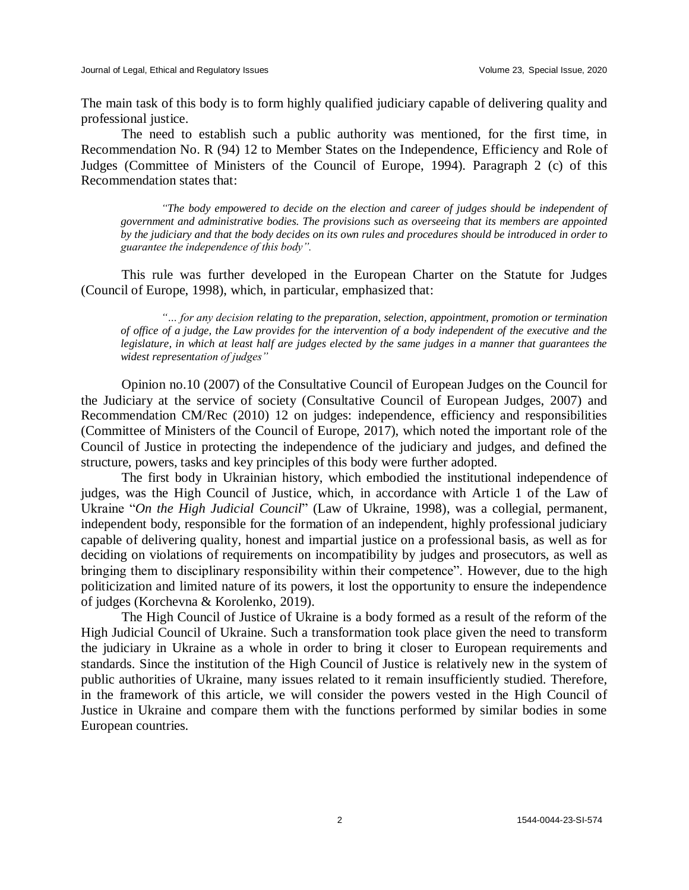The main task of this body is to form highly qualified judiciary capable of delivering quality and professional justice.

The need to establish such a public authority was mentioned, for the first time, in Recommendation No. R (94) 12 to Member States on the Independence, Efficiency and Role of Judges (Committee of Ministers of the Council of Europe, 1994). Paragraph 2 (c) of this Recommendation states that:

*"The body empowered to decide on the election and career of judges should be independent of government and administrative bodies. The provisions such as overseeing that its members are appointed by the judiciary and that the body decides on its own rules and procedures should be introduced in order to guarantee the independence of this body".*

This rule was further developed in the European Charter on the Statute for Judges (Council of Europe, 1998), which, in particular, emphasized that:

*"… for any decision relating to the preparation, selection, appointment, promotion or termination of office of a judge, the Law provides for the intervention of a body independent of the executive and the legislature, in which at least half are judges elected by the same judges in a manner that guarantees the widest representation of judges"*

Opinion no.10 (2007) of the Consultative Council of European Judges on the Council for the Judiciary at the service of society (Consultative Council of European Judges, 2007) and Recommendation CM/Rec (2010) 12 on judges: independence, efficiency and responsibilities (Committee of Ministers of the Council of Europe, 2017), which noted the important role of the Council of Justice in protecting the independence of the judiciary and judges, and defined the structure, powers, tasks and key principles of this body were further adopted.

The first body in Ukrainian history, which embodied the institutional independence of judges, was the High Council of Justice, which, in accordance with Article 1 of the Law of Ukraine "*On the High Judicial Council*" (Law of Ukraine, 1998), was a collegial, permanent, independent body, responsible for the formation of an independent, highly professional judiciary capable of delivering quality, honest and impartial justice on a professional basis, as well as for deciding on violations of requirements on incompatibility by judges and prosecutors, as well as bringing them to disciplinary responsibility within their competence". However, due to the high politicization and limited nature of its powers, it lost the opportunity to ensure the independence of judges (Korchevna & Korolenko, 2019).

The High Council of Justice of Ukraine is a body formed as a result of the reform of the High Judicial Council of Ukraine. Such a transformation took place given the need to transform the judiciary in Ukraine as a whole in order to bring it closer to European requirements and standards. Since the institution of the High Council of Justice is relatively new in the system of public authorities of Ukraine, many issues related to it remain insufficiently studied. Therefore, in the framework of this article, we will consider the powers vested in the High Council of Justice in Ukraine and compare them with the functions performed by similar bodies in some European countries.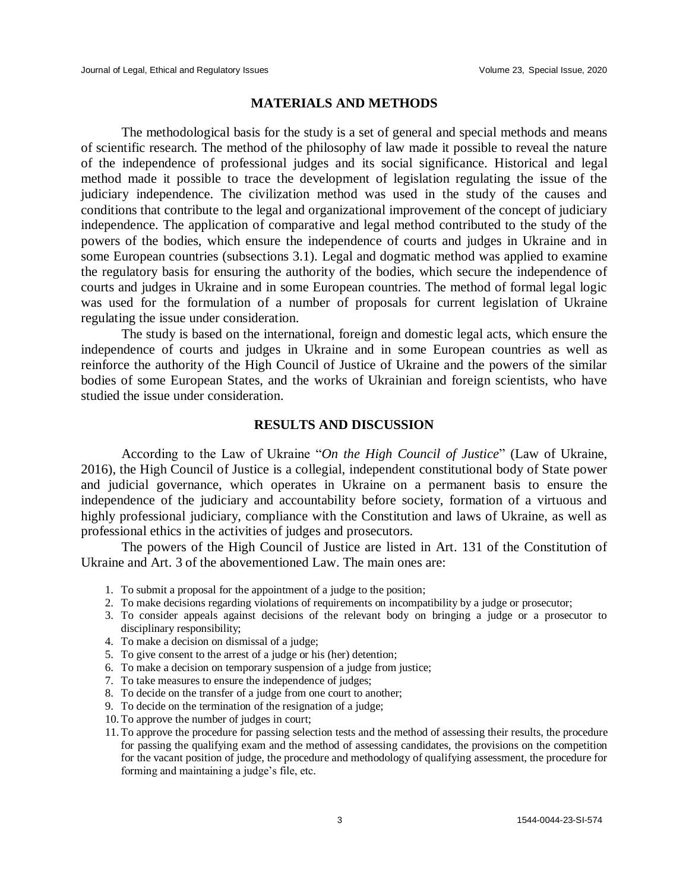#### **MATERIALS AND METHODS**

The methodological basis for the study is a set of general and special methods and means of scientific research. The method of the philosophy of law made it possible to reveal the nature of the independence of professional judges and its social significance. Historical and legal method made it possible to trace the development of legislation regulating the issue of the judiciary independence. The civilization method was used in the study of the causes and conditions that contribute to the legal and organizational improvement of the concept of judiciary independence. The application of comparative and legal method contributed to the study of the powers of the bodies, which ensure the independence of courts and judges in Ukraine and in some European countries (subsections 3.1). Legal and dogmatic method was applied to examine the regulatory basis for ensuring the authority of the bodies, which secure the independence of courts and judges in Ukraine and in some European countries. The method of formal legal logic was used for the formulation of a number of proposals for current legislation of Ukraine regulating the issue under consideration.

The study is based on the international, foreign and domestic legal acts, which ensure the independence of courts and judges in Ukraine and in some European countries as well as reinforce the authority of the High Council of Justice of Ukraine and the powers of the similar bodies of some European States, and the works of Ukrainian and foreign scientists, who have studied the issue under consideration.

#### **RESULTS AND DISCUSSION**

According to the Law of Ukraine "*On the High Council of Justice*" (Law of Ukraine, 2016), the High Council of Justice is a collegial, independent constitutional body of State power and judicial governance, which operates in Ukraine on a permanent basis to ensure the independence of the judiciary and accountability before society, formation of a virtuous and highly professional judiciary, compliance with the Constitution and laws of Ukraine, as well as professional ethics in the activities of judges and prosecutors.

The powers of the High Council of Justice are listed in Art. 131 of the Constitution of Ukraine and Art. 3 of the abovementioned Law. The main ones are:

- 1. To submit a proposal for the appointment of a judge to the position;
- 2. To make decisions regarding violations of requirements on incompatibility by a judge or prosecutor;
- 3. To consider appeals against decisions of the relevant body on bringing a judge or a prosecutor to disciplinary responsibility;
- 4. To make a decision on dismissal of a judge;
- 5. To give consent to the arrest of a judge or his (her) detention;
- 6. To make a decision on temporary suspension of a judge from justice;
- 7. To take measures to ensure the independence of judges;
- 8. To decide on the transfer of a judge from one court to another;
- 9. To decide on the termination of the resignation of a judge;
- 10. To approve the number of judges in court;
- 11. To approve the procedure for passing selection tests and the method of assessing their results, the procedure for passing the qualifying exam and the method of assessing candidates, the provisions on the competition for the vacant position of judge, the procedure and methodology of qualifying assessment, the procedure for forming and maintaining a judge's file, etc.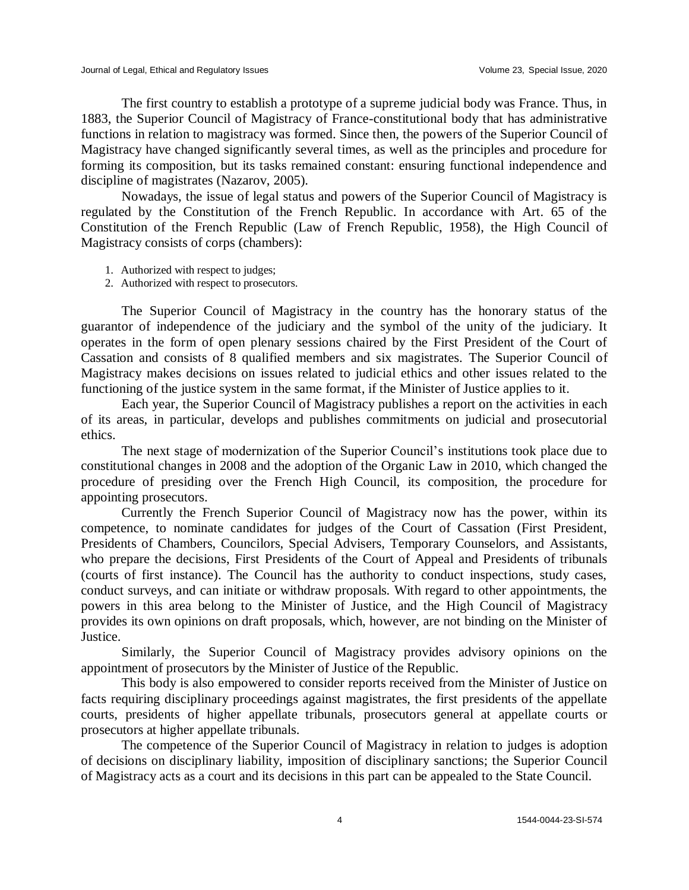The first country to establish a prototype of a supreme judicial body was France. Thus, in 1883, the Superior Council of Magistracy of France-constitutional body that has administrative functions in relation to magistracy was formed. Since then, the powers of the Superior Council of Magistracy have changed significantly several times, as well as the principles and procedure for forming its composition, but its tasks remained constant: ensuring functional independence and discipline of magistrates (Nazarov, 2005).

Nowadays, the issue of legal status and powers of the Superior Council of Magistracy is regulated by the Constitution of the French Republic. In accordance with Art. 65 of the Constitution of the French Republic (Law of French Republic, 1958), the High Council of Magistracy consists of corps (chambers):

- 1. Authorized with respect to judges;
- 2. Authorized with respect to prosecutors.

The Superior Council of Magistracy in the country has the honorary status of the guarantor of independence of the judiciary and the symbol of the unity of the judiciary. It operates in the form of open plenary sessions chaired by the First President of the Court of Cassation and consists of 8 qualified members and six magistrates. The Superior Council of Magistracy makes decisions on issues related to judicial ethics and other issues related to the functioning of the justice system in the same format, if the Minister of Justice applies to it.

Each year, the Superior Council of Magistracy publishes a report on the activities in each of its areas, in particular, develops and publishes commitments on judicial and prosecutorial ethics.

The next stage of modernization of the Superior Council's institutions took place due to constitutional changes in 2008 and the adoption of the Organic Law in 2010, which changed the procedure of presiding over the French High Council, its composition, the procedure for appointing prosecutors.

Currently the French Superior Council of Magistracy now has the power, within its competence, to nominate candidates for judges of the Court of Cassation (First President, Presidents of Chambers, Councilors, Special Advisers, Temporary Counselors, and Assistants, who prepare the decisions, First Presidents of the Court of Appeal and Presidents of tribunals (courts of first instance). The Council has the authority to conduct inspections, study cases, conduct surveys, and can initiate or withdraw proposals. With regard to other appointments, the powers in this area belong to the Minister of Justice, and the High Council of Magistracy provides its own opinions on draft proposals, which, however, are not binding on the Minister of Justice.

Similarly, the Superior Council of Magistracy provides advisory opinions on the appointment of prosecutors by the Minister of Justice of the Republic.

This body is also empowered to consider reports received from the Minister of Justice on facts requiring disciplinary proceedings against magistrates, the first presidents of the appellate courts, presidents of higher appellate tribunals, prosecutors general at appellate courts or prosecutors at higher appellate tribunals.

The competence of the Superior Council of Magistracy in relation to judges is adoption of decisions on disciplinary liability, imposition of disciplinary sanctions; the Superior Council of Magistracy acts as a court and its decisions in this part can be appealed to the State Council.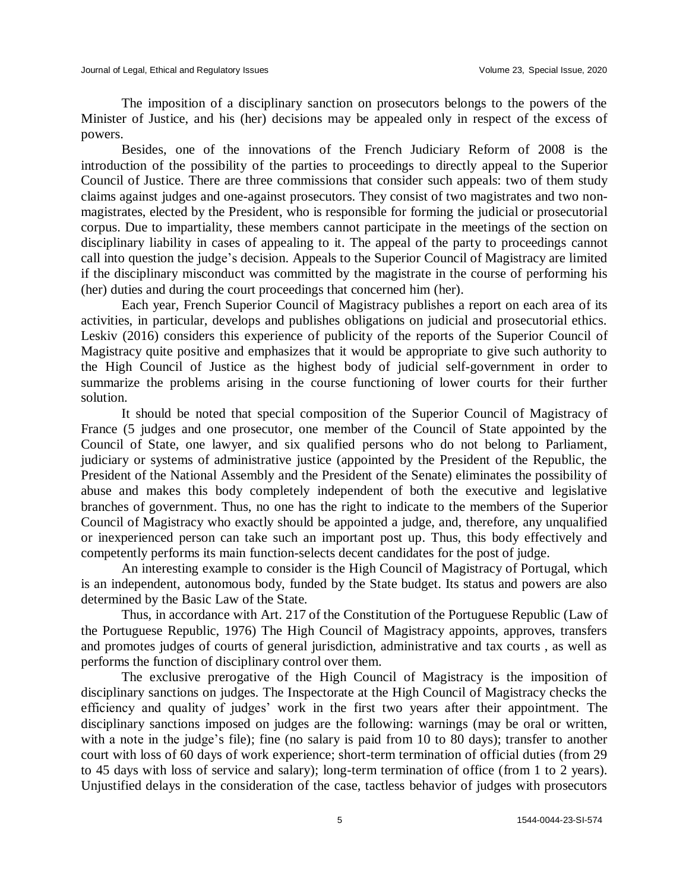The imposition of a disciplinary sanction on prosecutors belongs to the powers of the Minister of Justice, and his (her) decisions may be appealed only in respect of the excess of powers.

Besides, one of the innovations of the French Judiciary Reform of 2008 is the introduction of the possibility of the parties to proceedings to directly appeal to the Superior Council of Justice. There are three commissions that consider such appeals: two of them study claims against judges and one-against prosecutors. They consist of two magistrates and two nonmagistrates, elected by the President, who is responsible for forming the judicial or prosecutorial corpus. Due to impartiality, these members cannot participate in the meetings of the section on disciplinary liability in cases of appealing to it. The appeal of the party to proceedings cannot call into question the judge's decision. Appeals to the Superior Council of Magistracy are limited if the disciplinary misconduct was committed by the magistrate in the course of performing his (her) duties and during the court proceedings that concerned him (her).

Each year, French Superior Council of Magistracy publishes a report on each area of its activities, in particular, develops and publishes obligations on judicial and prosecutorial ethics. Leskiv (2016) considers this experience of publicity of the reports of the Superior Council of Magistracy quite positive and emphasizes that it would be appropriate to give such authority to the High Council of Justice as the highest body of judicial self-government in order to summarize the problems arising in the course functioning of lower courts for their further solution.

It should be noted that special composition of the Superior Council of Magistracy of France (5 judges and one prosecutor, one member of the Council of State appointed by the Council of State, one lawyer, and six qualified persons who do not belong to Parliament, judiciary or systems of administrative justice (appointed by the President of the Republic, the President of the National Assembly and the President of the Senate) eliminates the possibility of abuse and makes this body completely independent of both the executive and legislative branches of government. Thus, no one has the right to indicate to the members of the Superior Council of Magistracy who exactly should be appointed a judge, and, therefore, any unqualified or inexperienced person can take such an important post up. Thus, this body effectively and competently performs its main function-selects decent candidates for the post of judge.

An interesting example to consider is the High Council of Magistracy of Portugal, which is an independent, autonomous body, funded by the State budget. Its status and powers are also determined by the Basic Law of the State.

Thus, in accordance with Art. 217 of the Constitution of the Portuguese Republic (Law of the Portuguese Republic, 1976) The High Council of Magistracy appoints, approves, transfers and promotes judges of courts of general jurisdiction, administrative and tax courts , as well as performs the function of disciplinary control over them.

The exclusive prerogative of the High Council of Magistracy is the imposition of disciplinary sanctions on judges. The Inspectorate at the High Council of Magistracy checks the efficiency and quality of judges' work in the first two years after their appointment. The disciplinary sanctions imposed on judges are the following: warnings (may be oral or written, with a note in the judge's file); fine (no salary is paid from 10 to 80 days); transfer to another court with loss of 60 days of work experience; short-term termination of official duties (from 29 to 45 days with loss of service and salary); long-term termination of office (from 1 to 2 years). Unjustified delays in the consideration of the case, tactless behavior of judges with prosecutors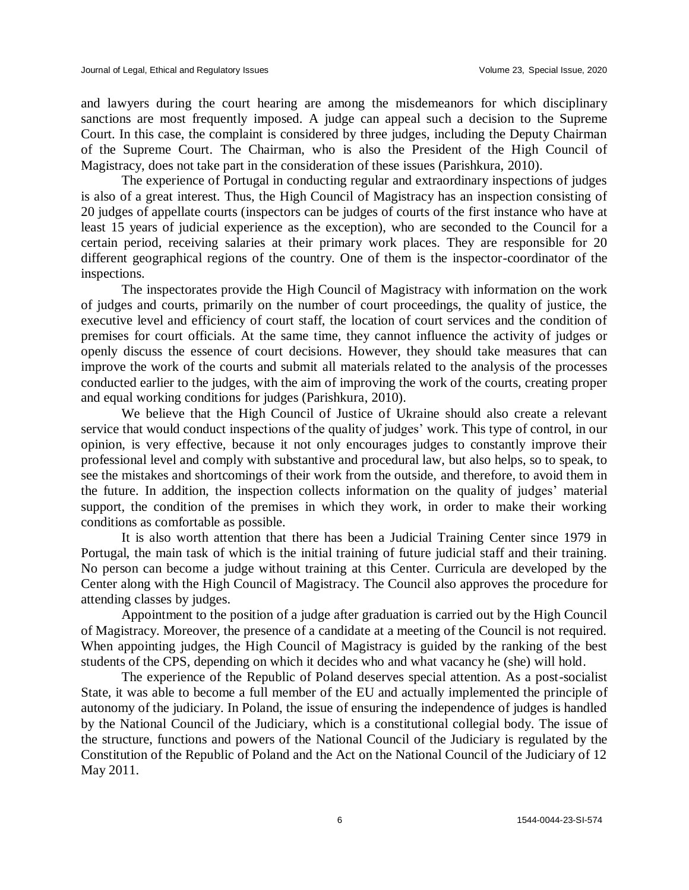and lawyers during the court hearing are among the misdemeanors for which disciplinary sanctions are most frequently imposed. A judge can appeal such a decision to the Supreme Court. In this case, the complaint is considered by three judges, including the Deputy Chairman of the Supreme Court. The Chairman, who is also the President of the High Council of Magistracy, does not take part in the consideration of these issues (Parishkura, 2010).

The experience of Portugal in conducting regular and extraordinary inspections of judges is also of a great interest. Thus, the High Council of Magistracy has an inspection consisting of 20 judges of appellate courts (inspectors can be judges of courts of the first instance who have at least 15 years of judicial experience as the exception), who are seconded to the Council for a certain period, receiving salaries at their primary work places. They are responsible for 20 different geographical regions of the country. One of them is the inspector-coordinator of the inspections.

The inspectorates provide the High Council of Magistracy with information on the work of judges and courts, primarily on the number of court proceedings, the quality of justice, the executive level and efficiency of court staff, the location of court services and the condition of premises for court officials. At the same time, they cannot influence the activity of judges or openly discuss the essence of court decisions. However, they should take measures that can improve the work of the courts and submit all materials related to the analysis of the processes conducted earlier to the judges, with the aim of improving the work of the courts, creating proper and equal working conditions for judges (Parishkura, 2010).

We believe that the High Council of Justice of Ukraine should also create a relevant service that would conduct inspections of the quality of judges' work. This type of control, in our opinion, is very effective, because it not only encourages judges to constantly improve their professional level and comply with substantive and procedural law, but also helps, so to speak, to see the mistakes and shortcomings of their work from the outside, and therefore, to avoid them in the future. In addition, the inspection collects information on the quality of judges' material support, the condition of the premises in which they work, in order to make their working conditions as comfortable as possible.

It is also worth attention that there has been a Judicial Training Center since 1979 in Portugal, the main task of which is the initial training of future judicial staff and their training. No person can become a judge without training at this Center. Curricula are developed by the Center along with the High Council of Magistracy. The Council also approves the procedure for attending classes by judges.

Appointment to the position of a judge after graduation is carried out by the High Council of Magistracy. Moreover, the presence of a candidate at a meeting of the Council is not required. When appointing judges, the High Council of Magistracy is guided by the ranking of the best students of the CPS, depending on which it decides who and what vacancy he (she) will hold.

The experience of the Republic of Poland deserves special attention. As a post-socialist State, it was able to become a full member of the EU and actually implemented the principle of autonomy of the judiciary. In Poland, the issue of ensuring the independence of judges is handled by the National Council of the Judiciary, which is a constitutional collegial body. The issue of the structure, functions and powers of the National Council of the Judiciary is regulated by the Constitution of the Republic of Poland and the Act on the National Council of the Judiciary of 12 May 2011.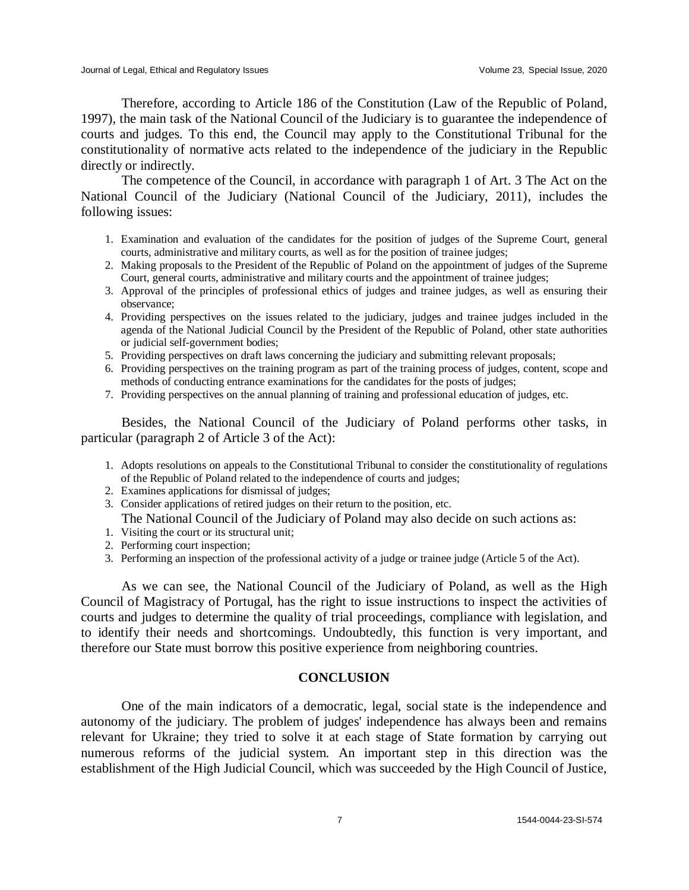Therefore, according to Article 186 of the Constitution (Law of the Republic of Poland, 1997), the main task of the National Council of the Judiciary is to guarantee the independence of courts and judges. To this end, the Council may apply to the Constitutional Tribunal for the constitutionality of normative acts related to the independence of the judiciary in the Republic directly or indirectly.

The competence of the Council, in accordance with paragraph 1 of Art. 3 The Act on the National Council of the Judiciary (National Council of the Judiciary, 2011), includes the following issues:

- 1. Examination and evaluation of the candidates for the position of judges of the Supreme Court, general courts, administrative and military courts, as well as for the position of trainee judges;
- 2. Making proposals to the President of the Republic of Poland on the appointment of judges of the Supreme Court, general courts, administrative and military courts and the appointment of trainee judges;
- 3. Approval of the principles of professional ethics of judges and trainee judges, as well as ensuring their observance;
- 4. Providing perspectives on the issues related to the judiciary, judges and trainee judges included in the agenda of the National Judicial Council by the President of the Republic of Poland, other state authorities or judicial self-government bodies;
- 5. Providing perspectives on draft laws concerning the judiciary and submitting relevant proposals;
- 6. Providing perspectives on the training program as part of the training process of judges, content, scope and methods of conducting entrance examinations for the candidates for the posts of judges;
- 7. Providing perspectives on the annual planning of training and professional education of judges, etc.

Besides, the National Council of the Judiciary of Poland performs other tasks, in particular (paragraph 2 of Article 3 of the Act):

- 1. Adopts resolutions on appeals to the Constitutional Tribunal to consider the constitutionality of regulations of the Republic of Poland related to the independence of courts and judges;
- 2. Examines applications for dismissal of judges;
- 3. Consider applications of retired judges on their return to the position, etc.
- The National Council of the Judiciary of Poland may also decide on such actions as:
- 1. Visiting the court or its structural unit;
- 2. Performing court inspection;
- 3. Performing an inspection of the professional activity of a judge or trainee judge (Article 5 of the Act).

As we can see, the National Council of the Judiciary of Poland, as well as the High Council of Magistracy of Portugal, has the right to issue instructions to inspect the activities of courts and judges to determine the quality of trial proceedings, compliance with legislation, and to identify their needs and shortcomings. Undoubtedly, this function is very important, and therefore our State must borrow this positive experience from neighboring countries.

#### **CONCLUSION**

One of the main indicators of a democratic, legal, social state is the independence and autonomy of the judiciary. The problem of judges' independence has always been and remains relevant for Ukraine; they tried to solve it at each stage of State formation by carrying out numerous reforms of the judicial system. An important step in this direction was the establishment of the High Judicial Council, which was succeeded by the High Council of Justice,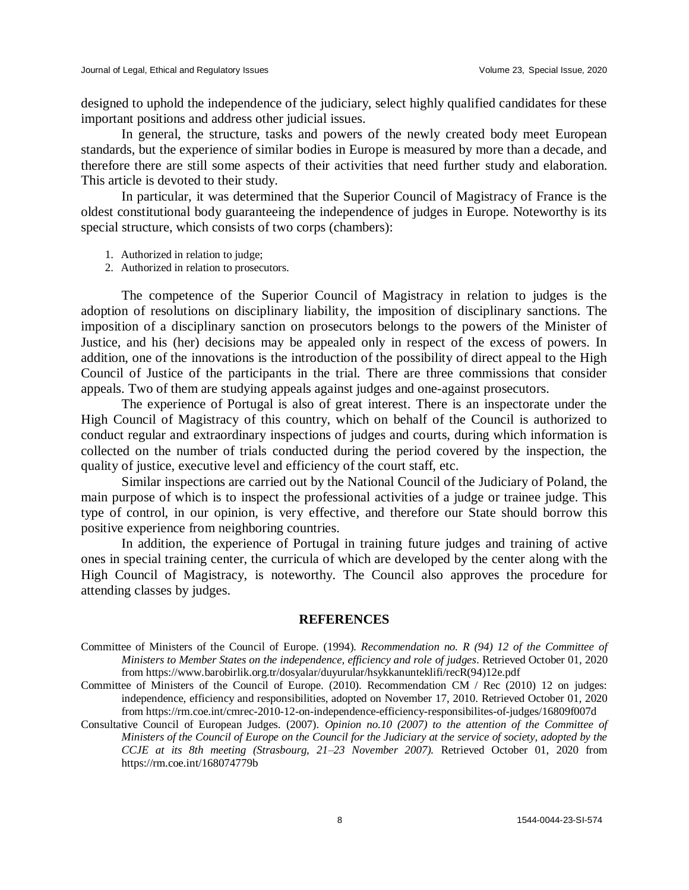designed to uphold the independence of the judiciary, select highly qualified candidates for these important positions and address other judicial issues.

In general, the structure, tasks and powers of the newly created body meet European standards, but the experience of similar bodies in Europe is measured by more than a decade, and therefore there are still some aspects of their activities that need further study and elaboration. This article is devoted to their study.

In particular, it was determined that the Superior Council of Magistracy of France is the oldest constitutional body guaranteeing the independence of judges in Europe. Noteworthy is its special structure, which consists of two corps (chambers):

- 1. Authorized in relation to judge;
- 2. Authorized in relation to prosecutors.

The competence of the Superior Council of Magistracy in relation to judges is the adoption of resolutions on disciplinary liability, the imposition of disciplinary sanctions. The imposition of a disciplinary sanction on prosecutors belongs to the powers of the Minister of Justice, and his (her) decisions may be appealed only in respect of the excess of powers. In addition, one of the innovations is the introduction of the possibility of direct appeal to the High Council of Justice of the participants in the trial. There are three commissions that consider appeals. Two of them are studying appeals against judges and one-against prosecutors.

The experience of Portugal is also of great interest. There is an inspectorate under the High Council of Magistracy of this country, which on behalf of the Council is authorized to conduct regular and extraordinary inspections of judges and courts, during which information is collected on the number of trials conducted during the period covered by the inspection, the quality of justice, executive level and efficiency of the court staff, etc.

Similar inspections are carried out by the National Council of the Judiciary of Poland, the main purpose of which is to inspect the professional activities of a judge or trainee judge. This type of control, in our opinion, is very effective, and therefore our State should borrow this positive experience from neighboring countries.

In addition, the experience of Portugal in training future judges and training of active ones in special training center, the curricula of which are developed by the center along with the High Council of Magistracy, is noteworthy. The Council also approves the procedure for attending classes by judges.

#### **REFERENCES**

- Committee of Ministers of the Council of Europe. (1994). *Recommendation no. R (94) 12 of the Committee of Ministers to Member States on the independence, efficiency and role of judges*. Retrieved October 01, 2020 from https://www.barobirlik.org.tr/dosyalar/duyurular/hsykkanunteklifi/recR(94)12e.pdf
- Committee of Ministers of the Council of Europe. (2010). Recommendation CM / Rec (2010) 12 on judges: independence, efficiency and responsibilities, adopted on November 17, 2010. Retrieved October 01, 2020 from https://rm.coe.int/cmrec-2010-12-on-independence-efficiency-responsibilites-of-judges/16809f007d
- Consultative Council of European Judges. (2007). *Opinion no.10 (2007) to the attention of the Committee of Ministers of the Council of Europe on the Council for the Judiciary at the service of society, adopted by the CCJE at its 8th meeting (Strasbourg, 21–23 November 2007).* Retrieved October 01, 2020 from https://rm.coe.int/168074779b